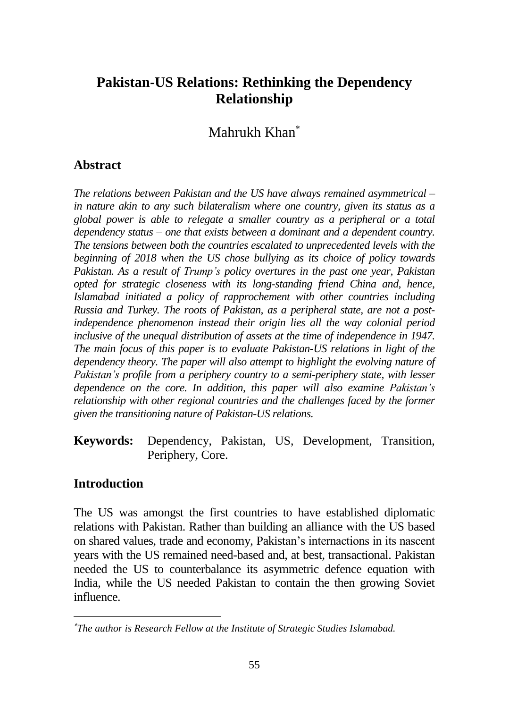# **Pakistan-US Relations: Rethinking the Dependency Relationship**

Mahrukh Khan

### **Abstract**

*The relations between Pakistan and the US have always remained asymmetrical – in nature akin to any such bilateralism where one country, given its status as a global power is able to relegate a smaller country as a peripheral or a total dependency status – one that exists between a dominant and a dependent country. The tensions between both the countries escalated to unprecedented levels with the beginning of 2018 when the US chose bullying as its choice of policy towards Pakistan. As a result of Trump's policy overtures in the past one year, Pakistan opted for strategic closeness with its long-standing friend China and, hence, Islamabad initiated a policy of rapprochement with other countries including Russia and Turkey. The roots of Pakistan, as a peripheral state, are not a postindependence phenomenon instead their origin lies all the way colonial period inclusive of the unequal distribution of assets at the time of independence in 1947. The main focus of this paper is to evaluate Pakistan-US relations in light of the dependency theory. The paper will also attempt to highlight the evolving nature of Pakistan's profile from a periphery country to a semi-periphery state, with lesser dependence on the core. In addition, this paper will also examine Pakistan's relationship with other regional countries and the challenges faced by the former given the transitioning nature of Pakistan-US relations.*

**Keywords:** Dependency, Pakistan, US, Development, Transition, Periphery, Core.

### **Introduction**

The US was amongst the first countries to have established diplomatic relations with Pakistan. Rather than building an alliance with the US based on shared values, trade and economy, Pakistan's internactions in its nascent years with the US remained need-based and, at best, transactional. Pakistan needed the US to counterbalance its asymmetric defence equation with India, while the US needed Pakistan to contain the then growing Soviet influence.

*The author is Research Fellow at the Institute of Strategic Studies Islamabad.*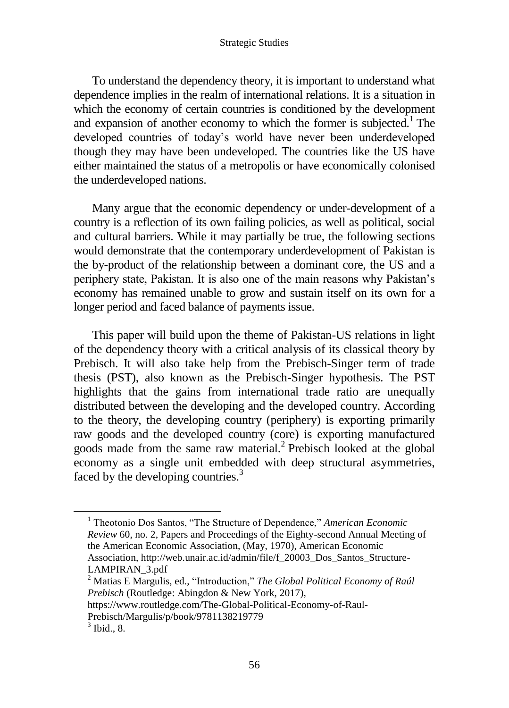To understand the dependency theory, it is important to understand what dependence implies in the realm of international relations. It is a situation in which the economy of certain countries is conditioned by the development and expansion of another economy to which the former is subjected.<sup>1</sup> The developed countries of today's world have never been underdeveloped though they may have been undeveloped. The countries like the US have either maintained the status of a metropolis or have economically colonised the underdeveloped nations.

Many argue that the economic dependency or under-development of a country is a reflection of its own failing policies, as well as political, social and cultural barriers. While it may partially be true, the following sections would demonstrate that the contemporary underdevelopment of Pakistan is the by-product of the relationship between a dominant core, the US and a periphery state, Pakistan. It is also one of the main reasons why Pakistan's economy has remained unable to grow and sustain itself on its own for a longer period and faced balance of payments issue.

This paper will build upon the theme of Pakistan-US relations in light of the dependency theory with a critical analysis of its classical theory by Prebisch. It will also take help from the Prebisch-Singer term of trade thesis (PST), also known as the Prebisch-Singer hypothesis. The PST highlights that the gains from international trade ratio are unequally distributed between the developing and the developed country. According to the theory, the developing country (periphery) is exporting primarily raw goods and the developed country (core) is exporting manufactured goods made from the same raw material.<sup>2</sup> Prebisch looked at the global economy as a single unit embedded with deep structural asymmetries, faced by the developing countries.<sup>3</sup>

<sup>&</sup>lt;sup>1</sup> Theotonio Dos Santos, "The Structure of Dependence," American Economic *Review* 60, no. 2, Papers and Proceedings of the Eighty-second Annual Meeting of the American Economic Association, (May, 1970), American Economic Association, http://web.unair.ac.id/admin/file/f\_20003\_Dos\_Santos\_Structure-LAMPIRAN\_3.pdf

<sup>2</sup> Matias E Margulis, ed., "Introduction," *The Global Political Economy of Raúl Prebisch* (Routledge: Abingdon & New York, 2017),

https://www.routledge.com/The-Global-Political-Economy-of-Raul-Prebisch/Margulis/p/book/9781138219779

 $3$  Ibid., 8.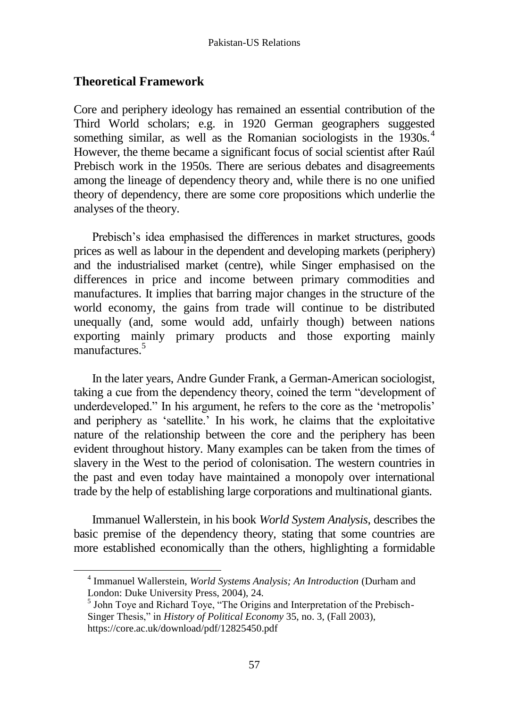### **Theoretical Framework**

 $\overline{a}$ 

Core and periphery ideology has remained an essential contribution of the Third World scholars; e.g. in 1920 German geographers suggested something similar, as well as the Romanian sociologists in the 1930s.<sup>4</sup> However, the theme became a significant focus of social scientist after Raúl Prebisch work in the 1950s. There are serious debates and disagreements among the lineage of dependency theory and, while there is no one unified theory of dependency, there are some core propositions which underlie the analyses of the theory.

Prebisch's idea emphasised the differences in market structures, goods prices as well as labour in the dependent and developing markets (periphery) and the industrialised market (centre), while Singer emphasised on the differences in price and income between primary commodities and manufactures. It implies that barring major changes in the structure of the world economy, the gains from trade will continue to be distributed unequally (and, some would add, unfairly though) between nations exporting mainly primary products and those exporting mainly manufactures.<sup>5</sup>

In the later years, Andre Gunder Frank, a German-American sociologist, taking a cue from the dependency theory, coined the term "development of underdeveloped." In his argument, he refers to the core as the 'metropolis' and periphery as 'satellite.' In his work, he claims that the exploitative nature of the relationship between the core and the periphery has been evident throughout history. Many examples can be taken from the times of slavery in the West to the period of colonisation. The western countries in the past and even today have maintained a monopoly over international trade by the help of establishing large corporations and multinational giants.

Immanuel Wallerstein, in his book *World System Analysis*, describes the basic premise of the dependency theory, stating that some countries are more established economically than the others, highlighting a formidable

<sup>4</sup> Immanuel Wallerstein, *World Systems Analysis; An Introduction* (Durham and London: Duke University Press, 2004), 24.

<sup>&</sup>lt;sup>5</sup> John Toye and Richard Toye, "The Origins and Interpretation of the Prebisch-Singer Thesis," in *History of Political Economy* 35, no. 3, (Fall 2003), https://core.ac.uk/download/pdf/12825450.pdf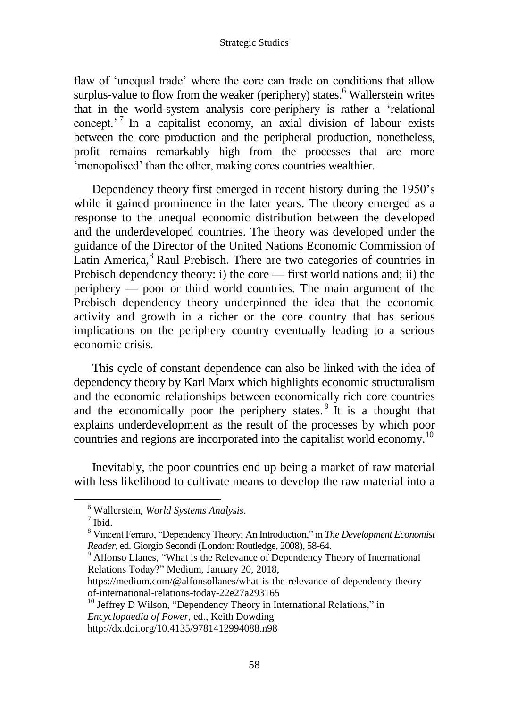flaw of 'unequal trade' where the core can trade on conditions that allow surplus-value to flow from the weaker (periphery) states.<sup>6</sup> Wallerstein writes that in the world-system analysis core-periphery is rather a 'relational concept.<sup> $7$ </sup> In a capitalist economy, an axial division of labour exists between the core production and the peripheral production, nonetheless, profit remains remarkably high from the processes that are more 'monopolised' than the other, making cores countries wealthier.

Dependency theory first emerged in recent history during the 1950's while it gained prominence in the later years. The theory emerged as a response to the unequal economic distribution between the developed and the underdeveloped countries. The theory was developed under the guidance of the Director of the United Nations Economic Commission of Latin America,<sup>8</sup> Raul Prebisch. There are two categories of countries in Prebisch dependency theory: i) the core — first world nations and; ii) the periphery — poor or third world countries. The main argument of the Prebisch dependency theory underpinned the idea that the economic activity and growth in a richer or the core country that has serious implications on the periphery country eventually leading to a serious economic crisis.

This cycle of constant dependence can also be linked with the idea of dependency theory by Karl Marx which highlights economic structuralism and the economic relationships between economically rich core countries and the economically poor the periphery states.<sup>9</sup> It is a thought that explains underdevelopment as the result of the processes by which poor countries and regions are incorporated into the capitalist world economy.<sup>10</sup>

Inevitably, the poor countries end up being a market of raw material with less likelihood to cultivate means to develop the raw material into a

<sup>6</sup> Wallerstein, *World Systems Analysis*.

 $<sup>7</sup>$  Ibid.</sup>

<sup>8</sup> Vincent Ferraro, "Dependency Theory; An Introduction," in *The Development Economist Reader*, ed. Giorgio Secondi (London: Routledge, 2008), 58-64.

<sup>&</sup>lt;sup>9</sup> Alfonso Llanes, "What is the Relevance of Dependency Theory of International Relations Today?" Medium, January 20, 2018,

https://medium.com/@alfonsollanes/what-is-the-relevance-of-dependency-theoryof-international-relations-today-22e27a293165

<sup>&</sup>lt;sup>10</sup> Jeffrey D Wilson, "Dependency Theory in International Relations," in *Encyclopaedia of Power*, ed., Keith Dowding

http://dx.doi.org/10.4135/9781412994088.n98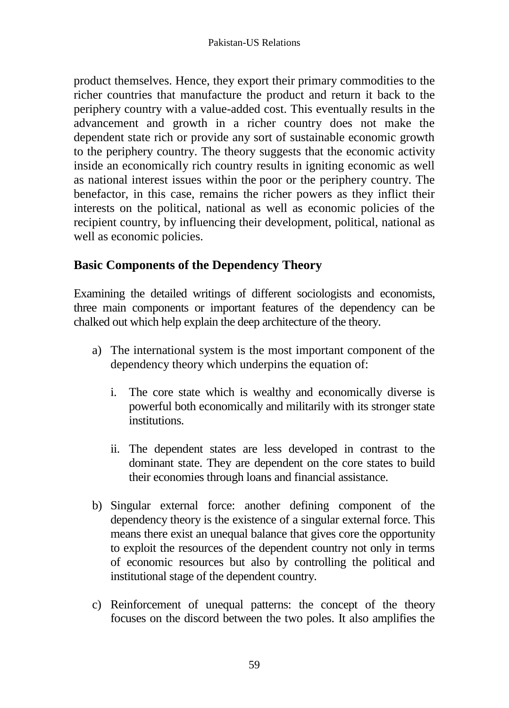product themselves. Hence, they export their primary commodities to the richer countries that manufacture the product and return it back to the periphery country with a value-added cost. This eventually results in the advancement and growth in a richer country does not make the dependent state rich or provide any sort of sustainable economic growth to the periphery country. The theory suggests that the economic activity inside an economically rich country results in igniting economic as well as national interest issues within the poor or the periphery country. The benefactor, in this case, remains the richer powers as they inflict their interests on the political, national as well as economic policies of the recipient country, by influencing their development, political, national as well as economic policies.

# **Basic Components of the Dependency Theory**

Examining the detailed writings of different sociologists and economists, three main components or important features of the dependency can be chalked out which help explain the deep architecture of the theory.

- a) The international system is the most important component of the dependency theory which underpins the equation of:
	- i. The core state which is wealthy and economically diverse is powerful both economically and militarily with its stronger state institutions.
	- ii. The dependent states are less developed in contrast to the dominant state. They are dependent on the core states to build their economies through loans and financial assistance.
- b) Singular external force: another defining component of the dependency theory is the existence of a singular external force. This means there exist an unequal balance that gives core the opportunity to exploit the resources of the dependent country not only in terms of economic resources but also by controlling the political and institutional stage of the dependent country.
- c) Reinforcement of unequal patterns: the concept of the theory focuses on the discord between the two poles. It also amplifies the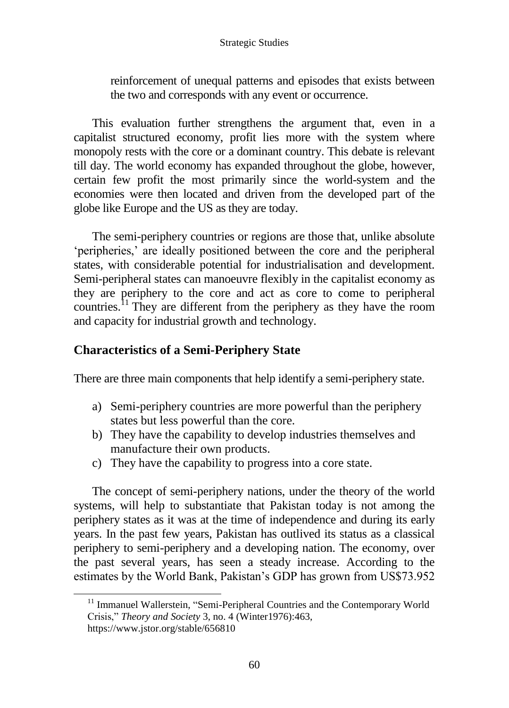reinforcement of unequal patterns and episodes that exists between the two and corresponds with any event or occurrence.

This evaluation further strengthens the argument that, even in a capitalist structured economy, profit lies more with the system where monopoly rests with the core or a dominant country. This debate is relevant till day. The world economy has expanded throughout the globe, however, certain few profit the most primarily since the world-system and the economies were then located and driven from the developed part of the globe like Europe and the US as they are today.

The semi-periphery countries or regions are those that, unlike absolute 'peripheries,' are ideally positioned between the core and the peripheral states, with considerable potential for industrialisation and development. Semi-peripheral states can manoeuvre flexibly in the capitalist economy as they are periphery to the core and act as core to come to peripheral countries.<sup>11</sup> They are different from the periphery as they have the room and capacity for industrial growth and technology.

### **Characteristics of a Semi-Periphery State**

There are three main components that help identify a semi-periphery state.

- a) Semi-periphery countries are more powerful than the periphery states but less powerful than the core.
- b) They have the capability to develop industries themselves and manufacture their own products.
- c) They have the capability to progress into a core state.

The concept of semi-periphery nations, under the theory of the world systems, will help to substantiate that Pakistan today is not among the periphery states as it was at the time of independence and during its early years. In the past few years, Pakistan has outlived its status as a classical periphery to semi-periphery and a developing nation. The economy, over the past several years, has seen a steady increase. According to the estimates by the World Bank, Pakistan's GDP has grown from US\$73.952

<sup>&</sup>lt;sup>11</sup> Immanuel Wallerstein, "Semi-Peripheral Countries and the Contemporary World Crisis," *Theory and Society* 3, no. 4 (Winter1976):463, https://www.jstor.org/stable/656810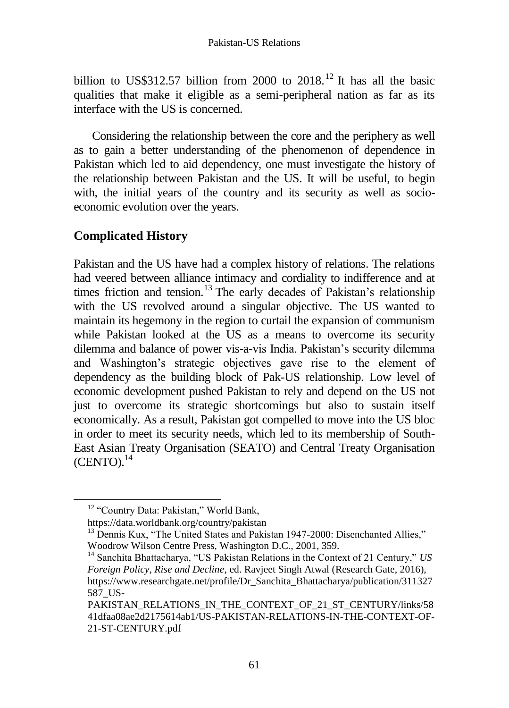billion to US\$312.57 billion from 2000 to 2018.<sup>12</sup> It has all the basic qualities that make it eligible as a semi-peripheral nation as far as its interface with the US is concerned.

Considering the relationship between the core and the periphery as well as to gain a better understanding of the phenomenon of dependence in Pakistan which led to aid dependency, one must investigate the history of the relationship between Pakistan and the US. It will be useful, to begin with, the initial years of the country and its security as well as socioeconomic evolution over the years.

# **Complicated History**

Pakistan and the US have had a complex history of relations. The relations had veered between alliance intimacy and cordiality to indifference and at times friction and tension.<sup>13</sup> The early decades of Pakistan's relationship with the US revolved around a singular objective. The US wanted to maintain its hegemony in the region to curtail the expansion of communism while Pakistan looked at the US as a means to overcome its security dilemma and balance of power vis-a-vis India. Pakistan's security dilemma and Washington's strategic objectives gave rise to the element of dependency as the building block of Pak-US relationship. Low level of economic development pushed Pakistan to rely and depend on the US not just to overcome its strategic shortcomings but also to sustain itself economically. As a result, Pakistan got compelled to move into the US bloc in order to meet its security needs, which led to its membership of South-East Asian Treaty Organisation (SEATO) and Central Treaty Organisation  $(CENTO)<sub>14</sub>$ 

<sup>&</sup>lt;sup>12</sup> "Country Data: Pakistan," World Bank,

https://data.worldbank.org/country/pakistan

<sup>&</sup>lt;sup>13</sup> Dennis Kux, "The United States and Pakistan 1947-2000: Disenchanted Allies," Woodrow Wilson Centre Press, Washington D.C., 2001, 359.

<sup>&</sup>lt;sup>14</sup> Sanchita Bhattacharya, "US Pakistan Relations in the Context of 21 Century," *US Foreign Policy, Rise and Decline*, ed. Ravjeet Singh Atwal (Research Gate, 2016), https://www.researchgate.net/profile/Dr\_Sanchita\_Bhattacharya/publication/311327 587\_US-

PAKISTAN\_RELATIONS\_IN\_THE\_CONTEXT\_OF\_21\_ST\_CENTURY/links/58 41dfaa08ae2d2175614ab1/US-PAKISTAN-RELATIONS-IN-THE-CONTEXT-OF-21-ST-CENTURY.pdf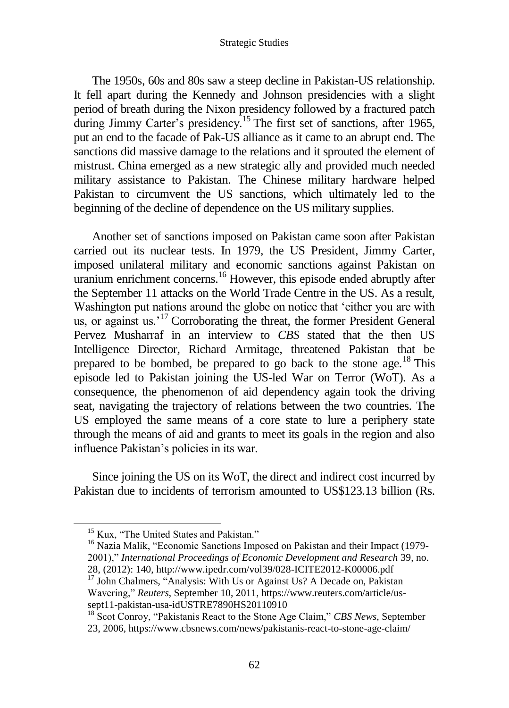The 1950s, 60s and 80s saw a steep decline in Pakistan-US relationship. It fell apart during the Kennedy and Johnson presidencies with a slight period of breath during the Nixon presidency followed by a fractured patch during Jimmy Carter's presidency.<sup>15</sup> The first set of sanctions, after 1965, put an end to the facade of Pak-US alliance as it came to an abrupt end. The sanctions did massive damage to the relations and it sprouted the element of mistrust. China emerged as a new strategic ally and provided much needed military assistance to Pakistan. The Chinese military hardware helped Pakistan to circumvent the US sanctions, which ultimately led to the beginning of the decline of dependence on the US military supplies.

Another set of sanctions imposed on Pakistan came soon after Pakistan carried out its nuclear tests. In 1979, the US President, Jimmy Carter, imposed unilateral military and economic sanctions against Pakistan on uranium enrichment concerns. <sup>16</sup> However, this episode ended abruptly after the September 11 attacks on the World Trade Centre in the US. As a result, Washington put nations around the globe on notice that 'either you are with us, or against us.<sup>17</sup> Corroborating the threat, the former President General Pervez Musharraf in an interview to *CBS* stated that the then US Intelligence Director, Richard Armitage, threatened Pakistan that be prepared to be bombed, be prepared to go back to the stone age.<sup>18</sup> This episode led to Pakistan joining the US-led War on Terror (WoT). As a consequence, the phenomenon of aid dependency again took the driving seat, navigating the trajectory of relations between the two countries. The US employed the same means of a core state to lure a periphery state through the means of aid and grants to meet its goals in the region and also influence Pakistan's policies in its war.

Since joining the US on its WoT, the direct and indirect cost incurred by Pakistan due to incidents of terrorism amounted to US\$123.13 billion (Rs.

<sup>&</sup>lt;sup>15</sup> Kux, "The United States and Pakistan."

<sup>&</sup>lt;sup>16</sup> Nazia Malik, "Economic Sanctions Imposed on Pakistan and their Impact (1979-2001)," *International Proceedings of Economic Development and Research* 39, no. 28, (2012): 140, http://www.ipedr.com/vol39/028-ICITE2012-K00006.pdf

<sup>26, (2012).</sup> The, international contract of the US? A Decade on, Pakistan <sup>17</sup> John Chalmers, "Analysis: With Us or Against Us? A Decade on, Pakistan Wavering," *Reuters*, September 10, 2011, https://www.reuters.com/article/ussept11-pakistan-usa-idUSTRE7890HS20110910

<sup>18</sup> Scot Conroy, "Pakistanis React to the Stone Age Claim," *CBS News*, September

<sup>23, 2006,</sup> https://www.cbsnews.com/news/pakistanis-react-to-stone-age-claim/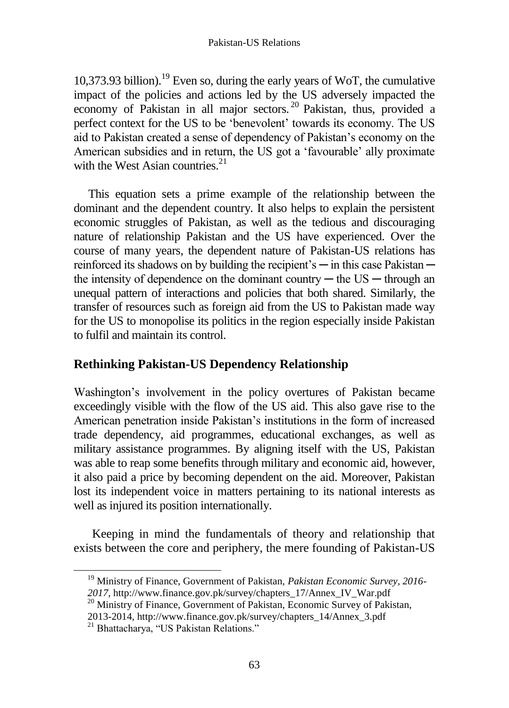10.373.93 billion).<sup>19</sup> Even so, during the early years of WoT, the cumulative impact of the policies and actions led by the US adversely impacted the economy of Pakistan in all major sectors. <sup>20</sup> Pakistan, thus, provided a perfect context for the US to be 'benevolent' towards its economy. The US aid to Pakistan created a sense of dependency of Pakistan's economy on the American subsidies and in return, the US got a 'favourable' ally proximate with the West Asian countries. $^{21}$ 

This equation sets a prime example of the relationship between the dominant and the dependent country. It also helps to explain the persistent economic struggles of Pakistan, as well as the tedious and discouraging nature of relationship Pakistan and the US have experienced. Over the course of many years, the dependent nature of Pakistan-US relations has reinforced its shadows on by building the recipient's — in this case Pakistan the intensity of dependence on the dominant country  $-$  the US  $-$  through an unequal pattern of interactions and policies that both shared. Similarly, the transfer of resources such as foreign aid from the US to Pakistan made way for the US to monopolise its politics in the region especially inside Pakistan to fulfil and maintain its control.

# **Rethinking Pakistan-US Dependency Relationship**

Washington's involvement in the policy overtures of Pakistan became exceedingly visible with the flow of the US aid. This also gave rise to the American penetration inside Pakistan's institutions in the form of increased trade dependency, aid programmes, educational exchanges, as well as military assistance programmes. By aligning itself with the US, Pakistan was able to reap some benefits through military and economic aid, however, it also paid a price by becoming dependent on the aid. Moreover, Pakistan lost its independent voice in matters pertaining to its national interests as well as injured its position internationally.

Keeping in mind the fundamentals of theory and relationship that exists between the core and periphery, the mere founding of Pakistan-US

<sup>19</sup> Ministry of Finance, Government of Pakistan, *Pakistan Economic Survey, 2016- 2017*, http://www.finance.gov.pk/survey/chapters\_17/Annex\_IV\_War.pdf

<sup>&</sup>lt;sup>20</sup> Ministry of Finance, Government of Pakistan, Economic Survey of Pakistan,

<sup>2013-2014,</sup> http://www.finance.gov.pk/survey/chapters\_14/Annex\_3.pdf

<sup>&</sup>lt;sup>21</sup> Bhattacharya, "US Pakistan Relations."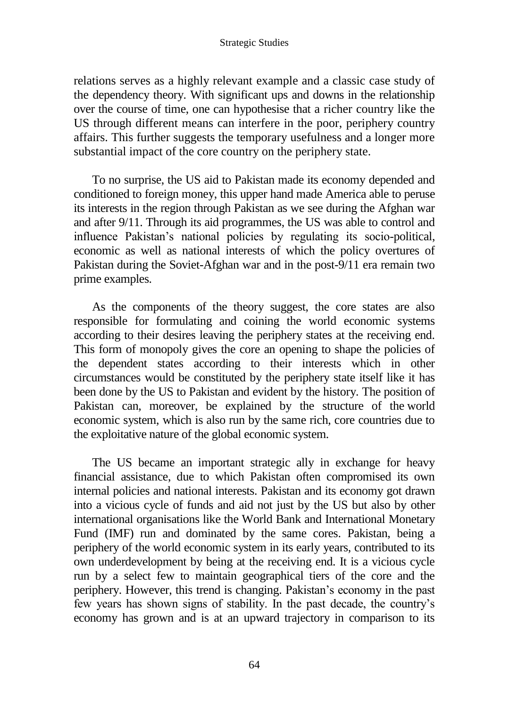relations serves as a highly relevant example and a classic case study of the dependency theory. With significant ups and downs in the relationship over the course of time, one can hypothesise that a richer country like the US through different means can interfere in the poor, periphery country affairs. This further suggests the temporary usefulness and a longer more substantial impact of the core country on the periphery state.

To no surprise, the US aid to Pakistan made its economy depended and conditioned to foreign money, this upper hand made America able to peruse its interests in the region through Pakistan as we see during the Afghan war and after 9/11. Through its aid programmes, the US was able to control and influence Pakistan's national policies by regulating its socio-political, economic as well as national interests of which the policy overtures of Pakistan during the Soviet-Afghan war and in the post-9/11 era remain two prime examples.

As the components of the theory suggest, the core states are also responsible for formulating and coining the world economic systems according to their desires leaving the periphery states at the receiving end. This form of monopoly gives the core an opening to shape the policies of the dependent states according to their interests which in other circumstances would be constituted by the periphery state itself like it has been done by the US to Pakistan and evident by the history. The position of Pakistan can, moreover, be explained by the structure of the world economic system, which is also run by the same rich, core countries due to the exploitative nature of the global economic system.

The US became an important strategic ally in exchange for heavy financial assistance, due to which Pakistan often compromised its own internal policies and national interests. Pakistan and its economy got drawn into a vicious cycle of funds and aid not just by the US but also by other international organisations like the World Bank and International Monetary Fund (IMF) run and dominated by the same cores. Pakistan, being a periphery of the world economic system in its early years, contributed to its own underdevelopment by being at the receiving end. It is a vicious cycle run by a select few to maintain geographical tiers of the core and the periphery. However, this trend is changing. Pakistan's economy in the past few years has shown signs of stability. In the past decade, the country's economy has grown and is at an upward trajectory in comparison to its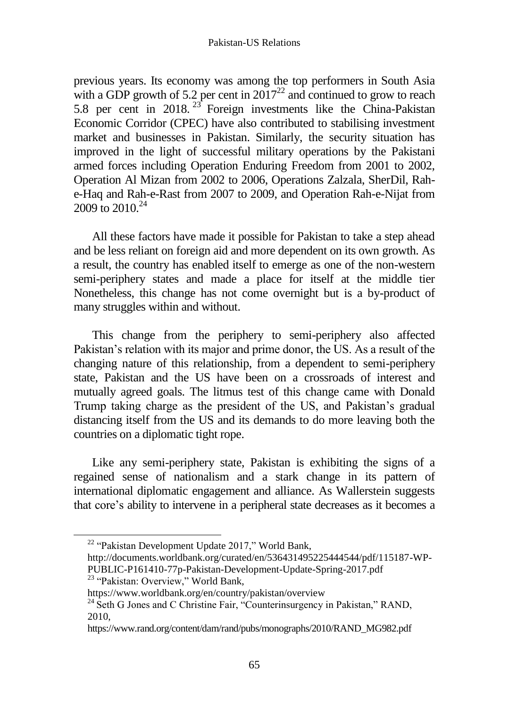previous years. Its economy was among the top performers in South Asia with a GDP growth of 5.2 per cent in  $2017^{22}$  and continued to grow to reach 5.8 per cent in  $2018$ . <sup>23</sup> Foreign investments like the China-Pakistan Economic Corridor (CPEC) have also contributed to stabilising investment market and businesses in Pakistan. Similarly, the security situation has improved in the light of successful military operations by the Pakistani armed forces including Operation Enduring Freedom from 2001 to 2002, Operation Al Mizan from 2002 to 2006, Operations Zalzala, SherDil, Rahe-Haq and Rah-e-Rast from 2007 to 2009, and Operation Rah-e-Nijat from 2009 to  $2010^{24}$ 

All these factors have made it possible for Pakistan to take a step ahead and be less reliant on foreign aid and more dependent on its own growth. As a result, the country has enabled itself to emerge as one of the non-western semi-periphery states and made a place for itself at the middle tier Nonetheless, this change has not come overnight but is a by-product of many struggles within and without.

This change from the periphery to semi-periphery also affected Pakistan's relation with its major and prime donor, the US. As a result of the changing nature of this relationship, from a dependent to semi-periphery state, Pakistan and the US have been on a crossroads of interest and mutually agreed goals. The litmus test of this change came with Donald Trump taking charge as the president of the US, and Pakistan's gradual distancing itself from the US and its demands to do more leaving both the countries on a diplomatic tight rope.

Like any semi-periphery state, Pakistan is exhibiting the signs of a regained sense of nationalism and a stark change in its pattern of international diplomatic engagement and alliance. As Wallerstein suggests that core's ability to intervene in a peripheral state decreases as it becomes a

<sup>22</sup> "Pakistan Development Update 2017," World Bank,

http://documents.worldbank.org/curated/en/536431495225444544/pdf/115187-WP-PUBLIC-P161410-77p-Pakistan-Development-Update-Spring-2017.pdf <sup>23</sup> "Pakistan: Overview," World Bank,

https://www.worldbank.org/en/country/pakistan/overview

 $^{24}$  Seth G Jones and C Christine Fair, "Counterinsurgency in Pakistan," RAND, 2010,

https://www.rand.org/content/dam/rand/pubs/monographs/2010/RAND\_MG982.pdf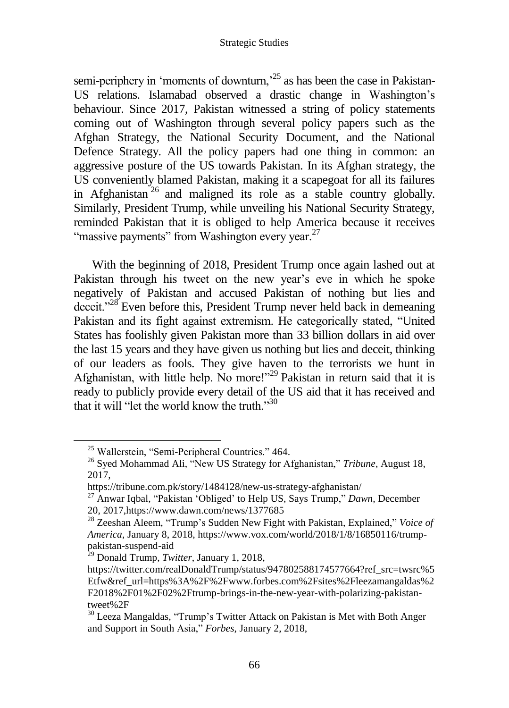semi-periphery in 'moments of downturn,<sup> $25$ </sup> as has been the case in Pakistan-US relations. Islamabad observed a drastic change in Washington's behaviour. Since 2017, Pakistan witnessed a string of policy statements coming out of Washington through several policy papers such as the Afghan Strategy, the National Security Document, and the National Defence Strategy. All the policy papers had one thing in common: an aggressive posture of the US towards Pakistan. In its Afghan strategy, the US conveniently blamed Pakistan, making it a scapegoat for all its failures in Afghanistan<sup>26</sup> and maligned its role as a stable country globally. Similarly, President Trump, while unveiling his National Security Strategy, reminded Pakistan that it is obliged to help America because it receives "massive payments" from Washington every year.<sup>27</sup>

With the beginning of 2018, President Trump once again lashed out at Pakistan through his tweet on the new year's eve in which he spoke negatively of Pakistan and accused Pakistan of nothing but lies and deceit."<sup>28</sup> Even before this, President Trump never held back in demeaning Pakistan and its fight against extremism. He categorically stated, "United States has foolishly given Pakistan more than 33 billion dollars in aid over the last 15 years and they have given us nothing but lies and deceit, thinking of our leaders as fools. They give haven to the terrorists we hunt in Afghanistan, with little help. No more!"<sup>29</sup> Pakistan in return said that it is ready to publicly provide every detail of the US aid that it has received and that it will "let the world know the truth." $30$ 

<sup>&</sup>lt;sup>25</sup> Wallerstein, "Semi-Peripheral Countries." 464.

<sup>26</sup> Syed Mohammad Ali, "New US Strategy for Afghanistan," *Tribune*, August 18, 2017,

https://tribune.com.pk/story/1484128/new-us-strategy-afghanistan/

<sup>27</sup> Anwar Iqbal, "Pakistan 'Obliged' to Help US, Says Trump," *Dawn*, December 20, 2017,https://www.dawn.com/news/1377685

<sup>28</sup> Zeeshan Aleem, "Trump's Sudden New Fight with Pakistan, Explained," *Voice of America*, January 8, 2018, https://www.vox.com/world/2018/1/8/16850116/trumppakistan-suspend-aid

<sup>29</sup> Donald Trump, *Twitter*, January 1, 2018,

https://twitter.com/realDonaldTrump/status/947802588174577664?ref\_src=twsrc%5 Etfw&ref\_url=https%3A%2F%2Fwww.forbes.com%2Fsites%2Fleezamangaldas%2 F2018%2F01%2F02%2Ftrump-brings-in-the-new-year-with-polarizing-pakistantweet%2F

<sup>30</sup> Leeza Mangaldas, "Trump's Twitter Attack on Pakistan is Met with Both Anger and Support in South Asia," *Forbes*, January 2, 2018,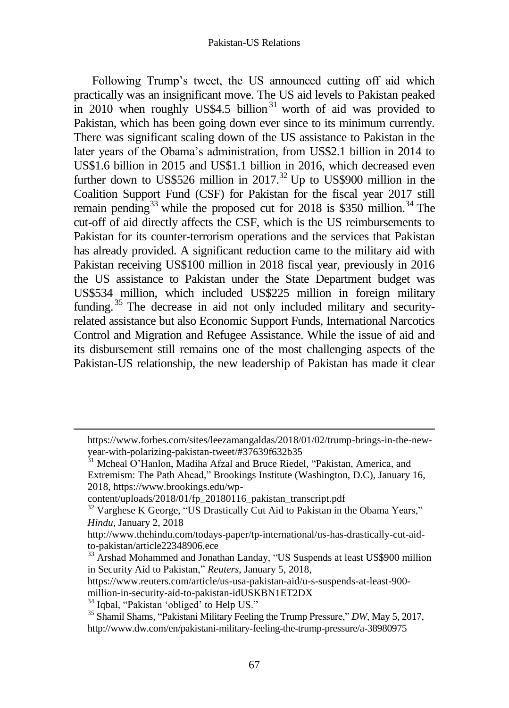Following Trump's tweet, the US announced cutting off aid which practically was an insignificant move. The US aid levels to Pakistan peaked in 2010 when roughly US\$4.5 billion<sup>31</sup> worth of aid was provided to Pakistan, which has been going down ever since to its minimum currently. There was significant scaling down of the US assistance to Pakistan in the later years of the Obama's administration, from US\$2.1 billion in 2014 to US\$1.6 billion in 2015 and US\$1.1 billion in 2016, which decreased even further down to US\$526 million in  $2017<sup>32</sup>$  Up to US\$900 million in the Coalition Support Fund (CSF) for Pakistan for the fiscal year 2017 still remain pending<sup>33</sup> while the proposed cut for 2018 is \$350 million.<sup>34</sup> The cut-off of aid directly affects the CSF, which is the US reimbursements to Pakistan for its counter-terrorism operations and the services that Pakistan has already provided. A significant reduction came to the military aid with Pakistan receiving US\$100 million in 2018 fiscal year, previously in 2016 the US assistance to Pakistan under the State Department budget was US\$534 million, which included US\$225 million in foreign military funding.<sup>35</sup> The decrease in aid not only included military and securityrelated assistance but also Economic Support Funds, International Narcotics Control and Migration and Refugee Assistance. While the issue of aid and its disbursement still remains one of the most challenging aspects of the Pakistan-US relationship, the new leadership of Pakistan has made it clear

https://www.forbes.com/sites/leezamangaldas/2018/01/02/trump-brings-in-the-newyear-with-polarizing-pakistan-tweet/#37639f632b35

<sup>&</sup>lt;sup>31</sup> Mcheal O'Hanlon, Madiha Afzal and Bruce Riedel, "Pakistan, America, and Extremism: The Path Ahead," Brookings Institute (Washington, D.C), January 16, 2018, https://www.brookings.edu/wp-

content/uploads/2018/01/fp\_20180116\_pakistan\_transcript.pdf

<sup>&</sup>lt;sup>32</sup> Varghese K George, "US Drastically Cut Aid to Pakistan in the Obama Years," *Hindu*, January 2, 2018

http://www.thehindu.com/todays-paper/tp-international/us-has-drastically-cut-aidto-pakistan/article22348906.ece

<sup>&</sup>lt;sup>33</sup> Arshad Mohammed and Jonathan Landay, "US Suspends at least US\$900 million in Security Aid to Pakistan," *Reuters*, January 5, 2018,

https://www.reuters.com/article/us-usa-pakistan-aid/u-s-suspends-at-least-900 million-in-security-aid-to-pakistan-idUSKBN1ET2DX

<sup>&</sup>lt;sup>34</sup> Iqbal, "Pakistan 'obliged' to Help US."

<sup>35</sup> Shamil Shams, "Pakistani Military Feeling the Trump Pressure," *DW*, May 5, 2017, <http://www.dw.com/en/pakistani-military-feeling-the-trump-pressure/a-38980975>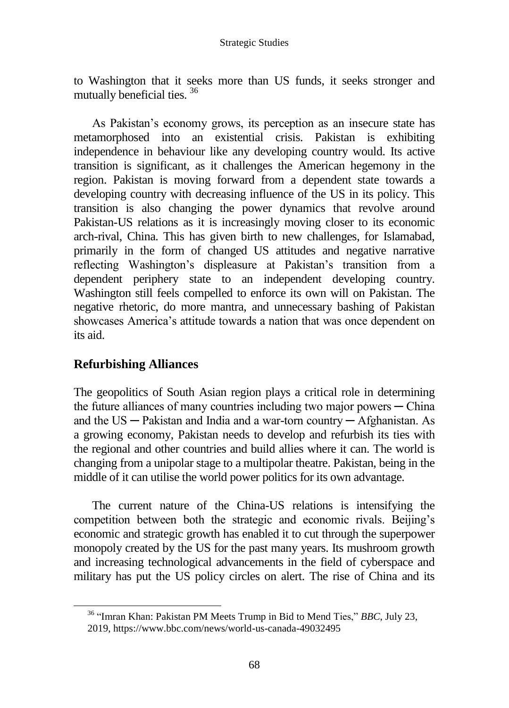to Washington that it seeks more than US funds, it seeks stronger and mutually beneficial ties. <sup>36</sup>

As Pakistan's economy grows, its perception as an insecure state has metamorphosed into an existential crisis. Pakistan is exhibiting independence in behaviour like any developing country would. Its active transition is significant, as it challenges the American hegemony in the region. Pakistan is moving forward from a dependent state towards a developing country with decreasing influence of the US in its policy. This transition is also changing the power dynamics that revolve around Pakistan-US relations as it is increasingly moving closer to its economic arch-rival, China. This has given birth to new challenges, for Islamabad, primarily in the form of changed US attitudes and negative narrative reflecting Washington's displeasure at Pakistan's transition from a dependent periphery state to an independent developing country. Washington still feels compelled to enforce its own will on Pakistan. The negative rhetoric, do more mantra, and unnecessary bashing of Pakistan showcases America's attitude towards a nation that was once dependent on its aid.

### **Refurbishing Alliances**

 $\overline{a}$ 

The geopolitics of South Asian region plays a critical role in determining the future alliances of many countries including two major powers  $-$  China and the  $US - Pakistan$  and India and a war-torn country  $-$  Afghanistan. As a growing economy, Pakistan needs to develop and refurbish its ties with the regional and other countries and build allies where it can. The world is changing from a unipolar stage to a multipolar theatre. Pakistan, being in the middle of it can utilise the world power politics for its own advantage.

The current nature of the China-US relations is intensifying the competition between both the strategic and economic rivals. Beijing's economic and strategic growth has enabled it to cut through the superpower monopoly created by the US for the past many years. Its mushroom growth and increasing technological advancements in the field of cyberspace and military has put the US policy circles on alert. The rise of China and its

<sup>36</sup> "Imran Khan: Pakistan PM Meets Trump in Bid to Mend Ties," *BBC*, July 23,

<sup>2019,</sup> https://www.bbc.com/news/world-us-canada-49032495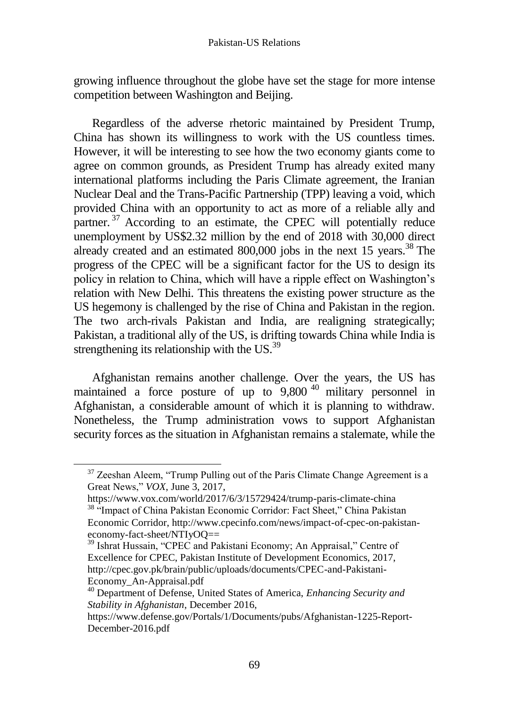growing influence throughout the globe have set the stage for more intense competition between Washington and Beijing.

Regardless of the adverse rhetoric maintained by President Trump, China has shown its willingness to work with the US countless times. However, it will be interesting to see how the two economy giants come to agree on common grounds, as President Trump has already exited many international platforms including the Paris Climate agreement, the Iranian Nuclear Deal and the Trans-Pacific Partnership (TPP) leaving a void, which provided China with an opportunity to act as more of a reliable ally and partner.<sup>37</sup> According to an estimate, the CPEC will potentially reduce unemployment by US\$2.32 million by the end of 2018 with 30,000 direct already created and an estimated 800,000 jobs in the next 15 years.<sup>38</sup> The progress of the CPEC will be a significant factor for the US to design its policy in relation to China, which will have a ripple effect on Washington's relation with New Delhi. This threatens the existing power structure as the US hegemony is challenged by the rise of China and Pakistan in the region. The two arch-rivals Pakistan and India, are realigning strategically; Pakistan, a traditional ally of the US, is drifting towards China while India is strengthening its relationship with the US.<sup>39</sup>

Afghanistan remains another challenge. Over the years, the US has maintained a force posture of up to 9,800 <sup>40</sup> military personnel in Afghanistan, a considerable amount of which it is planning to withdraw. Nonetheless, the Trump administration vows to support Afghanistan security forces as the situation in Afghanistan remains a stalemate, while the

 $37$  Zeeshan Aleem, "Trump Pulling out of the Paris Climate Change Agreement is a Great News," *VOX*, June 3, 2017,

https://www.vox.com/world/2017/6/3/15729424/trump-paris-climate-china <sup>38</sup> "Impact of China Pakistan Economic Corridor: Fact Sheet," China Pakistan Economic Corridor, http://www.cpecinfo.com/news/impact-of-cpec-on-pakistan-

economy-fact-sheet/NTIyOQ==

<sup>&</sup>lt;sup>39</sup> Ishrat Hussain, "CPEC and Pakistani Economy; An Appraisal," Centre of Excellence for CPEC, Pakistan Institute of Development Economics, 2017, http://cpec.gov.pk/brain/public/uploads/documents/CPEC-and-Pakistani-Economy\_An-Appraisal.pdf

<sup>40</sup> Department of Defense, United States of America, *Enhancing Security and Stability in Afghanistan*, December 2016,

https://www.defense.gov/Portals/1/Documents/pubs/Afghanistan-1225-Report-December-2016.pdf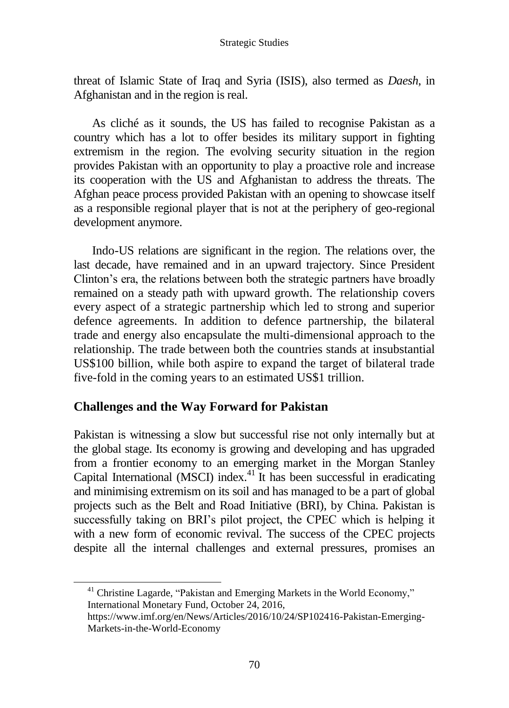threat of Islamic State of Iraq and Syria (ISIS), also termed as *Daesh*, in Afghanistan and in the region is real.

As cliché as it sounds, the US has failed to recognise Pakistan as a country which has a lot to offer besides its military support in fighting extremism in the region. The evolving security situation in the region provides Pakistan with an opportunity to play a proactive role and increase its cooperation with the US and Afghanistan to address the threats. The Afghan peace process provided Pakistan with an opening to showcase itself as a responsible regional player that is not at the periphery of geo-regional development anymore.

Indo-US relations are significant in the region. The relations over, the last decade, have remained and in an upward trajectory. Since President Clinton's era, the relations between both the strategic partners have broadly remained on a steady path with upward growth. The relationship covers every aspect of a strategic partnership which led to strong and superior defence agreements. In addition to defence partnership, the bilateral trade and energy also encapsulate the multi-dimensional approach to the relationship. The trade between both the countries stands at insubstantial US\$100 billion, while both aspire to expand the target of bilateral trade five-fold in the coming years to an estimated US\$1 trillion.

### **Challenges and the Way Forward for Pakistan**

Pakistan is witnessing a slow but successful rise not only internally but at the global stage. Its economy is growing and developing and has upgraded from a frontier economy to an emerging market in the Morgan Stanley Capital International (MSCI) index.<sup>41</sup> It has been successful in eradicating and minimising extremism on its soil and has managed to be a part of global projects such as the Belt and Road Initiative (BRI), by China. Pakistan is successfully taking on BRI's pilot project, the CPEC which is helping it with a new form of economic revival. The success of the CPEC projects despite all the internal challenges and external pressures, promises an

<sup>41</sup> Christine Lagarde, "Pakistan and Emerging Markets in the World Economy," International Monetary Fund, October 24, 2016,

https://www.imf.org/en/News/Articles/2016/10/24/SP102416-Pakistan-Emerging-Markets-in-the-World-Economy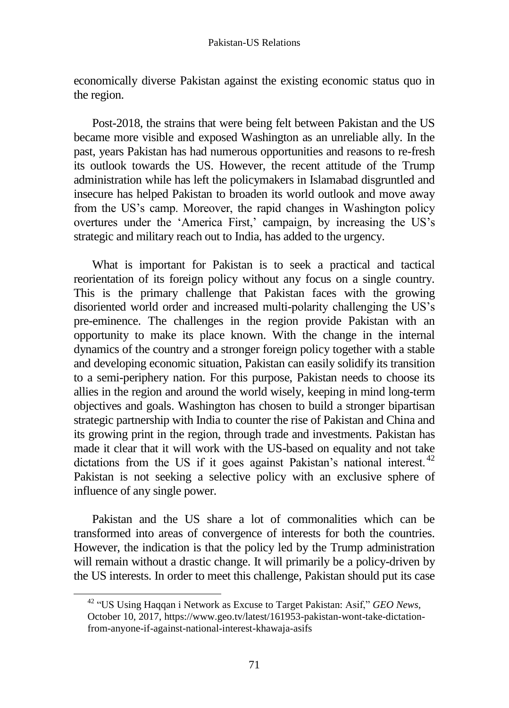economically diverse Pakistan against the existing economic status quo in the region.

Post-2018, the strains that were being felt between Pakistan and the US became more visible and exposed Washington as an unreliable ally. In the past, years Pakistan has had numerous opportunities and reasons to re-fresh its outlook towards the US. However, the recent attitude of the Trump administration while has left the policymakers in Islamabad disgruntled and insecure has helped Pakistan to broaden its world outlook and move away from the US's camp. Moreover, the rapid changes in Washington policy overtures under the 'America First,' campaign, by increasing the US's strategic and military reach out to India, has added to the urgency.

What is important for Pakistan is to seek a practical and tactical reorientation of its foreign policy without any focus on a single country. This is the primary challenge that Pakistan faces with the growing disoriented world order and increased multi-polarity challenging the US's pre-eminence. The challenges in the region provide Pakistan with an opportunity to make its place known. With the change in the internal dynamics of the country and a stronger foreign policy together with a stable and developing economic situation, Pakistan can easily solidify its transition to a semi-periphery nation. For this purpose, Pakistan needs to choose its allies in the region and around the world wisely, keeping in mind long-term objectives and goals. Washington has chosen to build a stronger bipartisan strategic partnership with India to counter the rise of Pakistan and China and its growing print in the region, through trade and investments. Pakistan has made it clear that it will work with the US-based on equality and not take dictations from the US if it goes against Pakistan's national interest.  $42$ Pakistan is not seeking a selective policy with an exclusive sphere of influence of any single power.

Pakistan and the US share a lot of commonalities which can be transformed into areas of convergence of interests for both the countries. However, the indication is that the policy led by the Trump administration will remain without a drastic change. It will primarily be a policy-driven by the US interests. In order to meet this challenge, Pakistan should put its case

<sup>42</sup> "US Using Haqqan i Network as Excuse to Target Pakistan: Asif," *GEO News,* October 10, 2017, https://www.geo.tv/latest/161953-pakistan-wont-take-dictationfrom-anyone-if-against-national-interest-khawaja-asifs